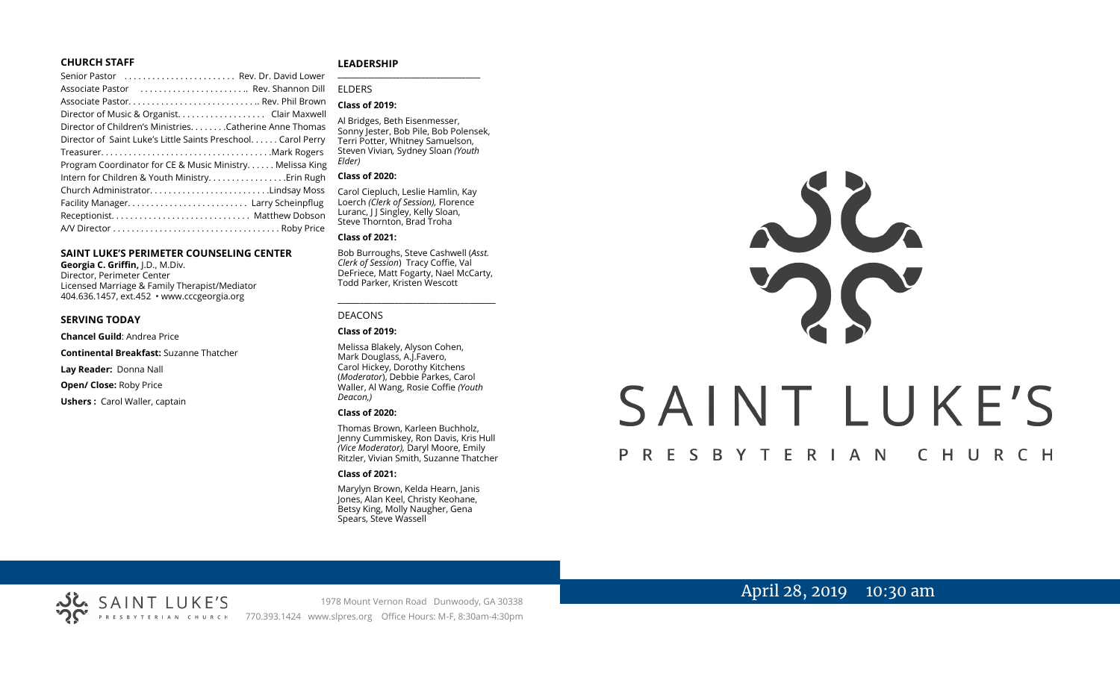#### **CHURCH STAFF**

| Senior Pastor  Rev. Dr. David Lower                          |
|--------------------------------------------------------------|
| Associate Pastor  Rev. Shannon Dill                          |
|                                                              |
| Director of Music & Organist. Clair Maxwell                  |
| Director of Children's Ministries. Catherine Anne Thomas     |
| Director of Saint Luke's Little Saints Preschool Carol Perry |
|                                                              |
| Program Coordinator for CE & Music Ministry Melissa King     |
| Intern for Children & Youth Ministry Erin Rugh               |
| Church AdministratorLindsay Moss                             |
|                                                              |
|                                                              |
|                                                              |

#### **SAINT LUKE'S PERIMETER COUNSELING CENTER**

**Georgia C. Griffin,** J.D., M.Div. Director, Perimeter Center Licensed Marriage & Family Therapist/Mediator 404.636.1457, ext.452 • www.cccgeorgia.org

#### **SERVING TODAY**

**Chancel Guild**: Andrea Price

**Continental Breakfast:** Suzanne Thatcher

**Lay Reader:** Donna Nall

**Open/ Close:** Roby Price

**Ushers :** Carol Waller, captain

#### **LEADERSHIP**

ELDERS

#### **Class of 2019:**

Al Bridges, Beth Eisenmesser, Sonny Jester, Bob Pile, Bob Polensek, Terri Potter, Whitney Samuelson, Steven Vivian*,* Sydney Sloan *(Youth Elder)*

**\_\_\_\_\_\_\_\_\_\_\_\_\_\_\_\_\_\_\_\_\_\_\_\_\_\_\_\_\_\_\_\_\_\_\_\_\_\_\_**

#### **Class of 2020:**

Carol Ciepluch, Leslie Hamlin, Kay Loerch *(Clerk of Session),* Florence Luranc, I J Singley, Kelly Sloan, Steve Thornton, Brad Troha

#### **Class of 2021:**

Bob Burroughs, Steve Cashwell (*Asst. Clerk of Session*) Tracy Coffie, Val DeFriece, Matt Fogarty, Nael McCarty, Todd Parker, Kristen Wescott

\_\_\_\_\_\_\_\_\_\_\_\_\_\_\_\_\_\_\_\_\_\_\_\_\_\_\_\_\_\_\_\_\_\_\_\_

#### DEACONS

**Class of 2019:**

Melissa Blakely, Alyson Cohen, Mark Douglass, A.J.Favero, Carol Hickey, Dorothy Kitchens (*Moderator*), Debbie Parkes, Carol Waller, Al Wang, Rosie Coffie *(Youth Deacon,)* 

#### **Class of 2020:**

Thomas Brown, Karleen Buchholz, Jenny Cummiskey, Ron Davis, Kris Hull *(Vice Moderator),* Daryl Moore, Emily Ritzler, Vivian Smith, Suzanne Thatcher

#### **Class of 2021:**

Marylyn Brown, Kelda Hearn, Janis Jones, Alan Keel, Christy Keohane, Betsy King, Molly Naugher, Gena Spears, Steve Wassell



# April 28, 2019 10:30 am

1978 Mount Vernon Road Dunwoody, GA 30338 770.393.1424 www.slpres.org Office Hours: M-F, 8:30am-4:30pm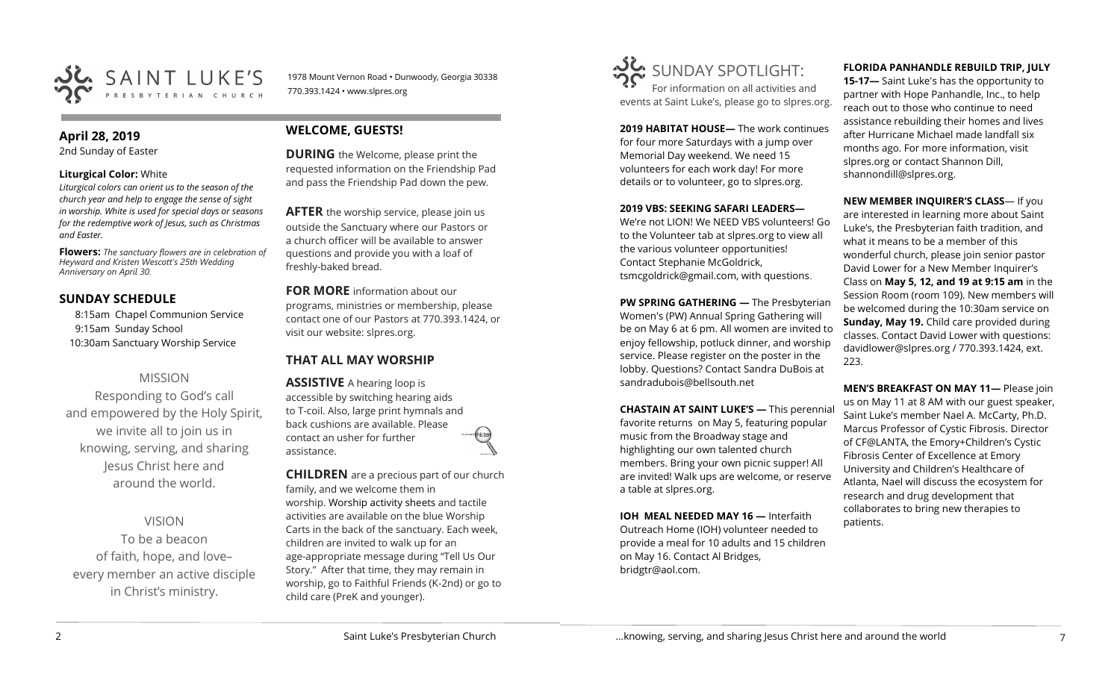

1978 Mount Vernon Road • Dunwoody, Georgia 30338 770.393.1424 • www.slpres.org

## **April 28, 2019**

2nd Sunday of Easter

#### **Liturgical Color:** White

*Liturgical colors can orient us to the season of the church year and help to engage the sense of sight in worship. White is used for special days or seasons for the redemptive work of Jesus, such as Christmas and Easter.*

**Flowers:** *The sanctuary flowers are in celebration of Heyward and Kristen Wescott's 25th Wedding Anniversary on April 30.*

# **SUNDAY SCHEDULE**

8:15am Chapel Communion Service 9:15am Sunday School 10:30am Sanctuary Worship Service

# MISSION

Responding to God's call and empowered by the Holy Spirit, we invite all to join us in knowing, serving, and sharing Jesus Christ here and around the world.

VISION

To be a beacon of faith, hope, and love– every member an active disciple in Christ's ministry.

# **WELCOME, GUESTS!**

**DURING** the Welcome, please print the requested information on the Friendship Pad and pass the Friendship Pad down the pew.

**AFTER** the worship service, please join us outside the Sanctuary where our Pastors or a church officer will be available to answer questions and provide you with a loaf of freshly-baked bread.

**FOR MORE** information about our programs, ministries or membership, please contact one of our Pastors at 770.393.1424, or visit our website: slpres.org.

# **THAT ALL MAY WORSHIP**

**ASSISTIVE** A hearing loop is accessible by switching hearing aids to T-coil. Also, large print hymnals and back cushions are available. Please contact an usher for further assistance.

**CHILDREN** are a precious part of our church family, and we welcome them in worship. Worship activity sheets and tactile activities are available on the blue Worship Carts in the back of the sanctuary. Each week, children are invited to walk up for an age-appropriate message during "Tell Us Our Story." After that time, they may remain in worship, go to Faithful Friends (K-2nd) or go to child care (PreK and younger).



**2019 HABITAT HOUSE—** The work continues for four more Saturdays with a jump over Memorial Day weekend. We need 15 volunteers for each work day! For more details or to volunteer, go to slpres.org.

#### **2019 VBS: SEEKING SAFARI LEADERS—**

We're not LION! We NEED VBS volunteers! Go to the Volunteer tab at slpres.org to view all the various volunteer opportunities! Contact Stephanie McGoldrick, tsmcgoldrick@gmail.com, with questions.

**PW SPRING GATHERING —** The Presbyterian Women's (PW) Annual Spring Gathering will be on May 6 at 6 pm. All women are invited to enjoy fellowship, potluck dinner, and worship service. Please register on the poster in the lobby. Questions? Contact Sandra DuBois at [sandradubois@bellsouth.net](mailto:sandradubois@bellsouth.net)

**CHASTAIN AT SAINT LUKE'S —** This perennial favorite returns on May 5, featuring popular music from the Broadway stage and highlighting our own talented church members. Bring your own picnic supper! All are invited! Walk ups are welcome, or reserve a table at slpres.org.

**IOH MEAL NEEDED MAY 16 —** Interfaith Outreach Home (IOH) volunteer needed to provide a meal for 10 adults and 15 children on May 16. Contact Al Bridges, bridgtr@aol.com.

## **FLORIDA PANHANDLE REBUILD TRIP, JULY**

**15-17—** Saint Luke's has the opportunity to partner with Hope Panhandle, Inc., to help reach out to those who continue to need assistance rebuilding their homes and lives after Hurricane Michael made landfall six months ago. For more information, visit slpres.org or contact Shannon Dill, shannondill@slpres.org.

**NEW MEMBER INQUIRER'S CLASS**— If you are interested in learning more about Saint

Luke's, the Presbyterian faith tradition, and what it means to be a member of this wonderful church, please join senior pastor David Lower for a New Member Inquirer's Class on **May 5, 12, and 19 at 9:15 am** in the Session Room (room 109). New members will be welcomed during the 10:30am service on **Sunday, May 19.** Child care provided during classes. Contact David Lower with questions: davidlower@slpres.org / 770.393.1424, ext. 223.

**MEN'S BREAKFAST ON MAY 11—** Please join us on May 11 at 8 AM with our guest speaker, Saint Luke's member Nael A. McCarty, Ph.D. Marcus Professor of Cystic Fibrosis. Director of CF@LANTA, the Emory+Children's Cystic Fibrosis Center of Excellence at Emory University and Children's Healthcare of Atlanta, Nael will discuss the ecosystem for research and drug development that collaborates to bring new therapies to patients.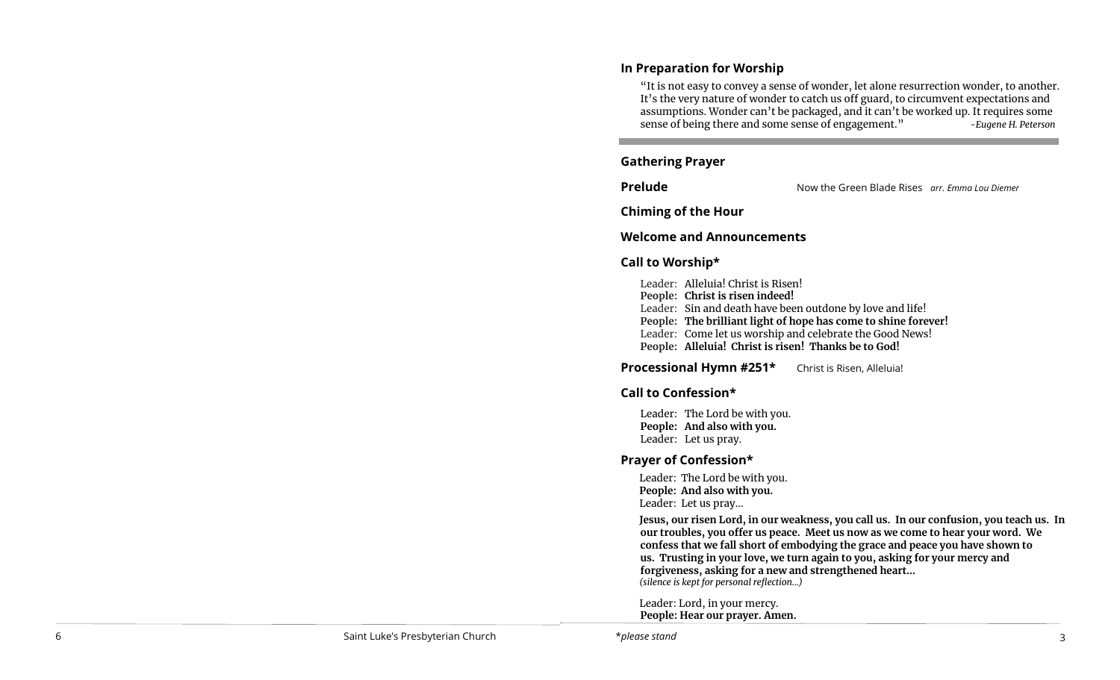# **In Preparation for Worship**

"It is not easy to convey a sense of wonder, let alone resurrection wonder, to another. It 's the very nature of wonder to catch us off guard, to circumvent expectations and assumptions. Wonder can 't be packaged, and it can 't be worked up. It requires some sense of being there and some sense of engagement. " *-Eugene H. Peterson*

# **Gathering Prayer**

**Prelude** Now the Green Blade Rises *arr. Emma Lou Diemer*

**Chiming of the Hour**

## **Welcome and Announcements**

# **Call to Worship\***

- Leader: Alleluia! Christ is Risen!
- **People: Christ is risen indeed!**
- Leader: Sin and death have been outdone by love and life!
- **People: The brilliant light of hope has come to shine forever!**
- Leader: Come let us worship and celebrate the Good News!
- **People: Alleluia! Christ is risen! Thanks be to God!**

# **Processional Hymn #251\*** Christ is Risen, Alleluia!

# **Call to Confession\***

Leader: The Lord be with you. **People: And also with you.**  Leader: Let us pray.

# **Prayer of Confession\***

Leader: The Lord be with you. **People: And also with you.** Leader: Let us pray...

**Jesus, our risen Lord, in our weakness, you call us. In our confusion, you teach us. In our troubles, you offer us peace. Meet us now as we come to hear your word. We confess that we fall short of embodying the grace and peace you have shown to us. Trusting in your love, we turn again to you, asking for your mercy and forgiveness, asking for a new and strengthened heart...** *(silence is kept for personal reflection...)*

Leader: Lord, in your mercy. **People: Hear our prayer. Amen.**